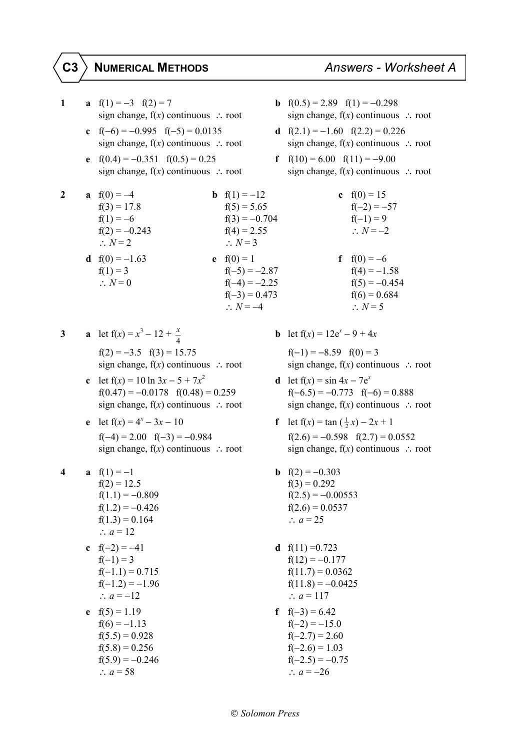## **C3 NUMERICAL METHODS** *Answers - Worksheet A*

**1 a**  $f(1) = -3$   $f(2) = 7$  **b**  $f(0.5) = 2.89$   $f(1) = -0.298$ **c**  $f(-6) = -0.995$   $f(-5) = 0.0135$  **d**  $f(2.1) = -1.60$   $f(2.2) = 0.226$ **e**  $f(0.4) = -0.351$   $f(0.5) = 0.25$  **f**  $f(10) = 6.00$   $f(11) = -9.00$ **2 a**  $f(0) = -4$  $f(3) = 17.8$  $f(1) = -6$  $f(2) = -0.243$  $\therefore$  *N* = 2 **d**  $f(0) = -1.63$ **3 a** let  $f(x) = x^3 - 12 + \frac{x}{4}$ **c** let  $f(x) = 10 \ln 3x - 5 + 7x^2$ **e** let  $f(x) = 4^x - 3x - 10$ **4 a**  $f(1) = -1$  **b**  $f(2) = -0.303$  $f(2) = 12.5$   $f(3) = 0.292$  $f(1.1) = -0.809$   $f(2.5) = -0.00553$  $f(1.2) = -0.426$   $f(2.6) = 0.0537$ f(1.3) = 0.164 ∴ *a* = 25 ∴  $a = 12$ **c**  $f(-2) = -41$  **d**  $f(11) = 0.723$  $f(-1) = 3$   $f(12) = -0.177$  $f(-1.1) = 0.715$   $f(11.7) = 0.0362$  $f(-1.2) = -1.96$   $f(11.8) = -0.0425$ ∴ *a* = −12 ∴ *a* = 117 **e**  $f(5) = 1.19$  **f**  $f(-3) = 6.42$  $f(6) = -1.13$   $f(-2) = -15.0$ f(5.5) = 0.928 f(−2.7) = 2.60 f(5.8) = 0.256 f(−2.6) = 1.03  $f(5.9) = -0.246$   $f(-2.5) = -0.75$ ∴ *a* = 58 ∴ *a* = −26

sign change, f(*x*) continuous ∴ root sign change, f(*x*) continuous ∴ root

- sign change, f(*x*) continuous ∴ root sign change, f(*x*) continuous ∴ root
- sign change, f(*x*) continuous ∴ root sign change, f(*x*) continuous ∴ root

| 2 | a $f(0) = -4$           | <b>b</b> $f(1) = -12$ | c $f(0) = 15$       |
|---|-------------------------|-----------------------|---------------------|
|   | $f(3) = 17.8$           | $f(5) = 5.65$         | $f(-2) = -57$       |
|   | $f(1) = -6$             | $f(3) = -0.704$       | $f(-1) = 9$         |
|   | $f(2) = -0.243$         | $f(4) = 2.55$         | $\therefore N = -2$ |
|   | $\therefore$ N = 2      | $\therefore N = 3$    |                     |
|   | <b>d</b> $f(0) = -1.63$ | <b>e</b> $f(0) = 1$   | $f f(0) = -6$       |
|   | $f(1) = 3$              | $f(-5) = -2.87$       | $f(4) = -1.58$      |
|   | $\therefore N = 0$      | $f(-4) = -2.25$       | $f(5) = -0.454$     |
|   |                         | $f(-3) = 0.473$       | $f(6) = 0.684$      |
|   |                         | $\therefore N = -4$   | $\therefore N = 5$  |
|   |                         |                       |                     |

 $f(2) = -3.5 \quad f(3) = 15.75 \quad f(-1) = -8.59 \quad f(0) = 3$ sign change, f(*x*) continuous ∴ root sign change, f(*x*) continuous ∴ root

- $f(0.47) = -0.0178$   $f(0.48) = 0.259$   $f(-6.5) = -0.773$   $f(-6) = 0.888$
- $f(-4) = 2.00 \quad f(-3) = -0.984$   $f(2.6) = -0.598 \quad f(2.7) = 0.0552$

*b* let  $f(x) = 12e^x - 9 + 4x$ 

- **d** let  $f(x) = \sin 4x 7e^x$ sign change,  $f(x)$  continuous  $\therefore$  root sign change,  $f(x)$  continuous  $\therefore$  root
- **f** let  $f(x) = \tan(\frac{1}{2}x) 2x + 1$  sign change, f(*x*) continuous ∴ root sign change, f(*x*) continuous ∴ root
	-
	-
	-